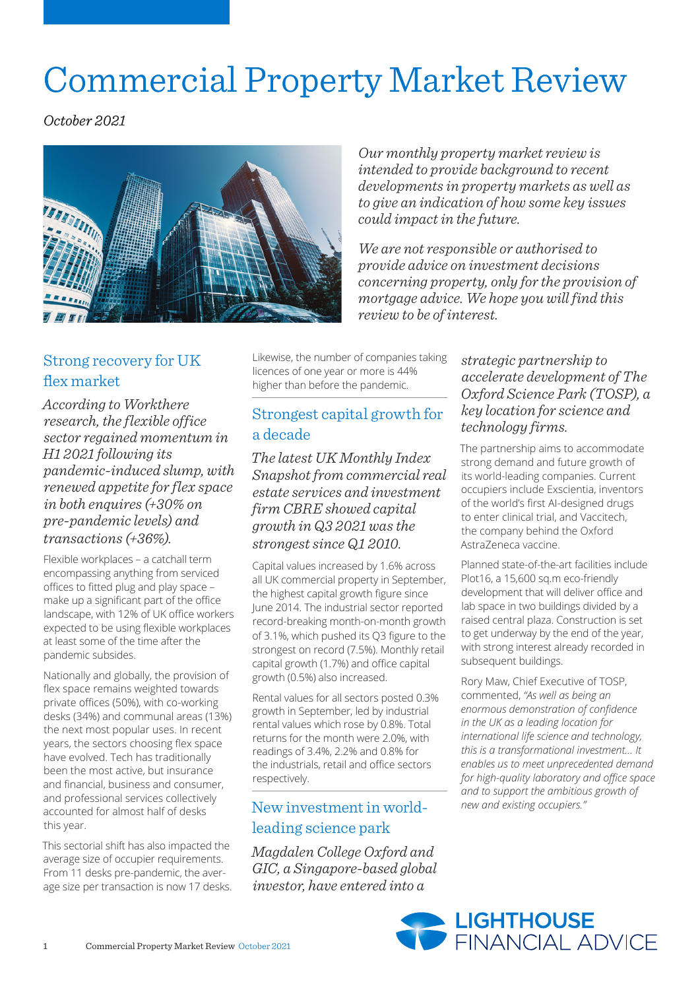# Commercial Property Market Review

*October 2021*



*Our monthly property market review is intended to provide background to recent developments in property markets as well as to give an indication of how some key issues could impact in the future.*

*We are not responsible or authorised to provide advice on investment decisions concerning property, only for the provision of mortgage advice. We hope you will find this review to be of interest.*

## Strong recovery for UK flex market

*According to Workthere research, the flexible office sector regained momentum in H1 2021 following its pandemic-induced slump, with renewed appetite for flex space in both enquires (+30% on pre-pandemic levels) and transactions (+36%).*

Flexible workplaces – a catchall term encompassing anything from serviced offices to fitted plug and play space – make up a significant part of the office landscape, with 12% of UK office workers expected to be using flexible workplaces at least some of the time after the pandemic subsides.

Nationally and globally, the provision of flex space remains weighted towards private offices (50%), with co-working desks (34%) and communal areas (13%) the next most popular uses. In recent years, the sectors choosing flex space have evolved. Tech has traditionally been the most active, but insurance and financial, business and consumer, and professional services collectively accounted for almost half of desks this year.

This sectorial shift has also impacted the average size of occupier requirements. From 11 desks pre-pandemic, the average size per transaction is now 17 desks. Likewise, the number of companies taking licences of one year or more is 44% higher than before the pandemic.

## Strongest capital growth for a decade

*The latest UK Monthly Index Snapshot from commercial real estate services and investment firm CBRE showed capital growth in Q3 2021 was the strongest since Q1 2010.*

Capital values increased by 1.6% across all UK commercial property in September, the highest capital growth figure since June 2014. The industrial sector reported record-breaking month-on-month growth of 3.1%, which pushed its Q3 figure to the strongest on record (7.5%). Monthly retail capital growth (1.7%) and office capital growth (0.5%) also increased.

Rental values for all sectors posted 0.3% growth in September, led by industrial rental values which rose by 0.8%. Total returns for the month were 2.0%, with readings of 3.4%, 2.2% and 0.8% for the industrials, retail and office sectors respectively.

## New investment in worldleading science park

*Magdalen College Oxford and GIC, a Singapore-based global investor, have entered into a* 

### *strategic partnership to accelerate development of The Oxford Science Park (TOSP), a key location for science and technology firms.*

The partnership aims to accommodate strong demand and future growth of its world-leading companies. Current occupiers include Exscientia, inventors of the world's first AI-designed drugs to enter clinical trial, and Vaccitech, the company behind the Oxford AstraZeneca vaccine.

Planned state-of-the-art facilities include Plot16, a 15,600 sq.m eco-friendly development that will deliver office and lab space in two buildings divided by a raised central plaza. Construction is set to get underway by the end of the year, with strong interest already recorded in subsequent buildings.

Rory Maw, Chief Executive of TOSP, commented, *"As well as being an enormous demonstration of confidence in the UK as a leading location for international life science and technology, this is a transformational investment… It enables us to meet unprecedented demand for high-quality laboratory and office space and to support the ambitious growth of new and existing occupiers."*